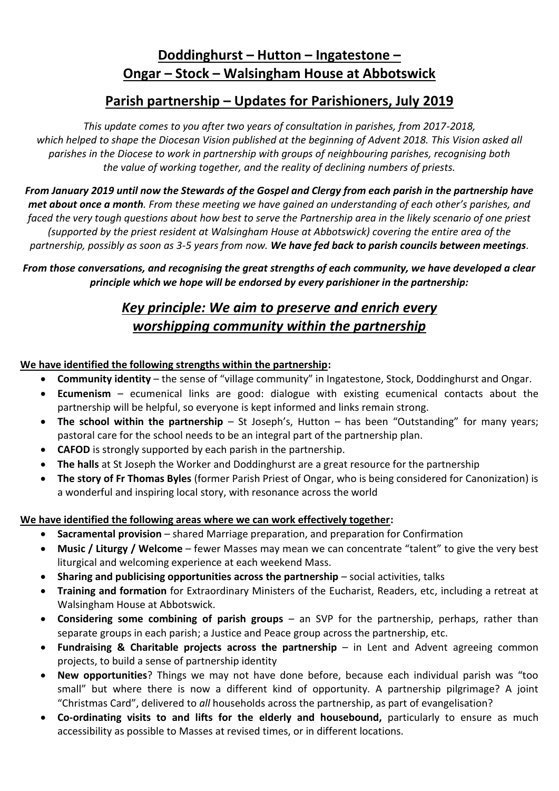## **Doddinghurst – Hutton – Ingatestone – Ongar – Stock – Walsingham House at Abbotswick**

### **Parish partnership – Updates for Parishioners, July 2019**

*This update comes to you after two years of consultation in parishes, from 2017-2018,*  which helped to shape the Diocesan Vision published at the beginning of Advent 2018. This Vision asked all *parishes in the Diocese to work in partnership with groups of neighbouring parishes, recognising both the value of working together, and the reality of declining numbers of priests.*

*From January 2019 until now the Stewards of the Gospel and Clergy from each parish in the partnership have met about once a month. From these meeting we have gained an understanding of each other's parishes, and faced the very tough questions about how best to serve the Partnership area in the likely scenario of one priest (supported by the priest resident at Walsingham House at Abbotswick) covering the entire area of the partnership, possibly as soon as 3-5 years from now. We have fed back to parish councils between meetings.*

*From those conversations, and recognising the great strengths of each community, we have developed a clear principle which we hope will be endorsed by every parishioner in the partnership:*

# *Key principle: We aim to preserve and enrich every worshipping community within the partnership*

### **We have identified the following strengths within the partnership:**

- **Community identity** the sense of "village community" in Ingatestone, Stock, Doddinghurst and Ongar.
- **Ecumenism**  ecumenical links are good: dialogue with existing ecumenical contacts about the partnership will be helpful, so everyone is kept informed and links remain strong.
- **The school within the partnership** St Joseph's, Hutton has been "Outstanding" for many years; pastoral care for the school needs to be an integral part of the partnership plan.
- **CAFOD** is strongly supported by each parish in the partnership.
- **The halls** at St Joseph the Worker and Doddinghurst are a great resource for the partnership
- **The story of Fr Thomas Byles** (former Parish Priest of Ongar, who is being considered for Canonization) is a wonderful and inspiring local story, with resonance across the world

#### **We have identified the following areas where we can work effectively together:**

- **Sacramental provision** shared Marriage preparation, and preparation for Confirmation
- **Music / Liturgy / Welcome** fewer Masses may mean we can concentrate "talent" to give the very best liturgical and welcoming experience at each weekend Mass.
- **Sharing and publicising opportunities across the partnership** social activities, talks
- **Training and formation** for Extraordinary Ministers of the Eucharist, Readers, etc, including a retreat at Walsingham House at Abbotswick.
- **Considering some combining of parish groups** an SVP for the partnership, perhaps, rather than separate groups in each parish; a Justice and Peace group across the partnership, etc.
- **Fundraising & Charitable projects across the partnership** in Lent and Advent agreeing common projects, to build a sense of partnership identity
- **New opportunities**? Things we may not have done before, because each individual parish was "too small" but where there is now a different kind of opportunity. A partnership pilgrimage? A joint "Christmas Card", delivered to *all* households across the partnership, as part of evangelisation?
- **Co-ordinating visits to and lifts for the elderly and housebound,** particularly to ensure as much accessibility as possible to Masses at revised times, or in different locations.